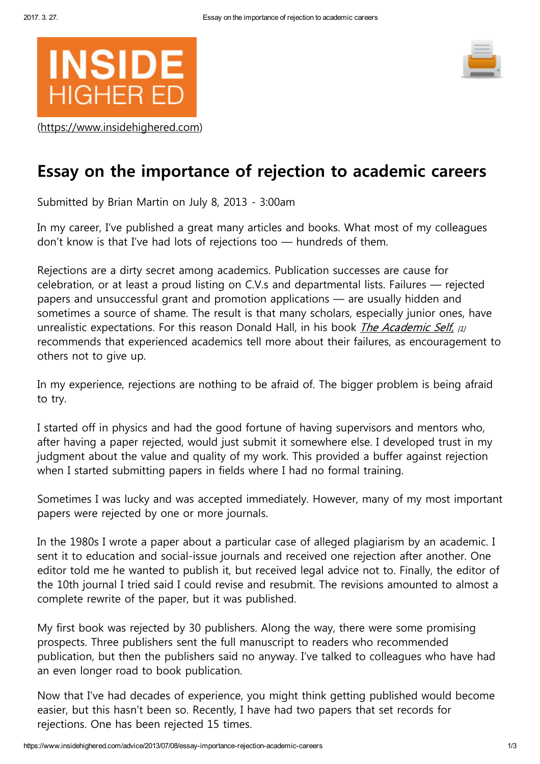

([https://www.insidehighered.com\)](https://www.insidehighered.com/)



## Essay on the importance of rejection to academic careers

Submitted by Brian Martin on July 8, 2013 - 3:00am

In my career, I've published a great many articles and books. What most of my colleagues don't know is that I've had lots of rejections too — hundreds of them.

Rejections are a dirty secret among academics. Publication successes are cause for celebration, or at least a proud listing on C.V.s and departmental lists. Failures — rejected papers and unsuccessful grant and promotion applications — are usually hidden and sometimes a source of shame. The result is that many scholars, especially junior ones, have unrealistic expectations. For this reason Donald Hall, in his book *The [Academic](https://ohiostatepress.org/index.htm?/books/book%20pages/hall%20academic.html) Self.*  $\mu$ recommends that experienced academics tell more about their failures, as encouragement to others not to give up.

In my experience, rejections are nothing to be afraid of. The bigger problem is being afraid to try.

I started off in physics and had the good fortune of having supervisors and mentors who, after having a paper rejected, would just submit it somewhere else. I developed trust in my judgment about the value and quality of my work. This provided a buffer against rejection when I started submitting papers in fields where I had no formal training.

Sometimes I was lucky and was accepted immediately. However, many of my most important papers were rejected by one or more journals.

In the 1980s I wrote a paper about a particular case of alleged plagiarism by an academic. I sent it to education and social-issue journals and received one rejection after another. One editor told me he wanted to publish it, but received legal advice not to. Finally, the editor of the 10th journal I tried said I could revise and resubmit. The revisions amounted to almost a complete rewrite of the paper, but it was published.

My first book was rejected by 30 publishers. Along the way, there were some promising prospects. Three publishers sent the full manuscript to readers who recommended publication, but then the publishers said no anyway. I've talked to colleagues who have had an even longer road to book publication.

Now that I've had decades of experience, you might think getting published would become easier, but this hasn't been so. Recently, I have had two papers that set records for rejections. One has been rejected 15 times.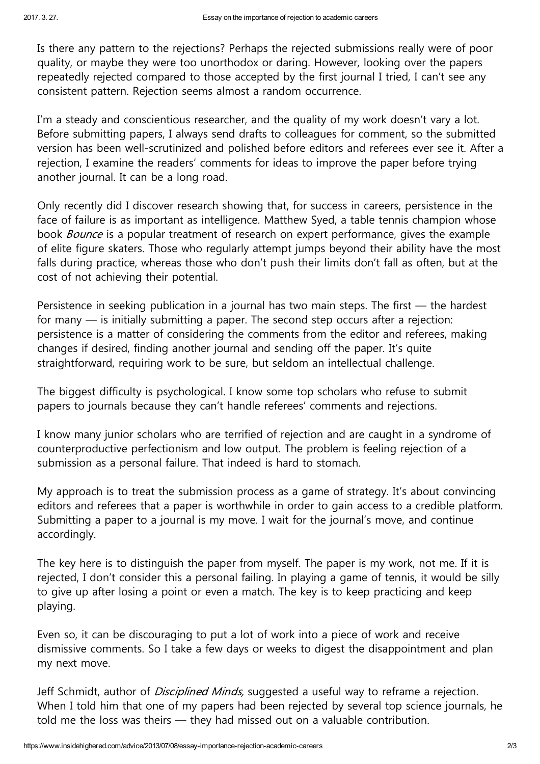Is there any pattern to the rejections? Perhaps the rejected submissions really were of poor quality, or maybe they were too unorthodox or daring. However, looking over the papers repeatedly rejected compared to those accepted by the first journal I tried, I can't see any consistent pattern. Rejection seems almost a random occurrence.

I'm a steady and conscientious researcher, and the quality of my work doesn't vary a lot. Before submitting papers, I always send drafts to colleagues for comment, so the submitted version has been well-scrutinized and polished before editors and referees ever see it. After a rejection, I examine the readers' comments for ideas to improve the paper before trying another journal. It can be a long road.

Only recently did I discover research showing that, for success in careers, persistence in the face of failure is as important as intelligence. Matthew Syed, a table tennis champion whose book *Bounce* is a popular treatment of research on expert performance, gives the example of elite figure skaters. Those who regularly attempt jumps beyond their ability have the most falls during practice, whereas those who don't push their limits don't fall as often, but at the cost of not achieving their potential.

Persistence in seeking publication in a journal has two main steps. The first — the hardest for many — is initially submitting a paper. The second step occurs after a rejection: persistence is a matter of considering the comments from the editor and referees, making changes if desired, finding another journal and sending off the paper. It's quite straightforward, requiring work to be sure, but seldom an intellectual challenge.

The biggest difficulty is psychological. I know some top scholars who refuse to submit papers to journals because they can't handle referees' comments and rejections.

I know many junior scholars who are terrified of rejection and are caught in a syndrome of counterproductive perfectionism and low output. The problem is feeling rejection of a submission as a personal failure. That indeed is hard to stomach.

My approach is to treat the submission process as a game of strategy. It's about convincing editors and referees that a paper is worthwhile in order to gain access to a credible platform. Submitting a paper to a journal is my move. I wait for the journal's move, and continue accordingly.

The key here is to distinguish the paper from myself. The paper is my work, not me. If it is rejected, I don't consider this a personal failing. In playing a game of tennis, it would be silly to give up after losing a point or even a match. The key is to keep practicing and keep playing.

Even so, it can be discouraging to put a lot of work into a piece of work and receive dismissive comments. So I take a few days or weeks to digest the disappointment and plan my next move.

Jeff Schmidt, author of *Disciplined Minds*, suggested a useful way to reframe a rejection. When I told him that one of my papers had been rejected by several top science journals, he told me the loss was theirs — they had missed out on a valuable contribution.